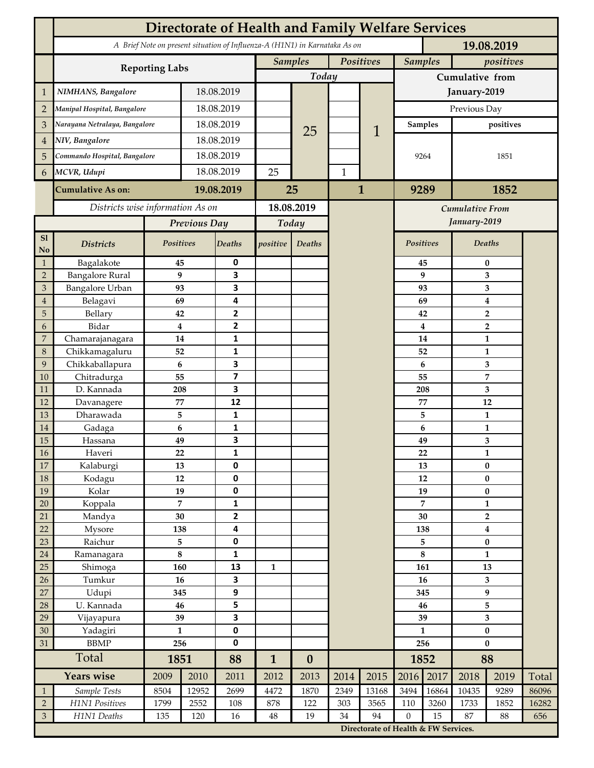|                                  | <b>Directorate of Health and Family Welfare Services</b>                                 |                      |            |                              |              |                             |              |                                      |                             |                    |                                |                |       |
|----------------------------------|------------------------------------------------------------------------------------------|----------------------|------------|------------------------------|--------------|-----------------------------|--------------|--------------------------------------|-----------------------------|--------------------|--------------------------------|----------------|-------|
|                                  | A Brief Note on present situation of Influenza-A (H1N1) in Karnataka As on<br>19.08.2019 |                      |            |                              |              |                             |              |                                      |                             |                    |                                |                |       |
|                                  |                                                                                          |                      |            |                              |              | <b>Samples</b><br>Positives |              |                                      | <b>Samples</b><br>positives |                    |                                |                |       |
|                                  | <b>Reporting Labs</b>                                                                    |                      |            |                              | Today        |                             |              |                                      | Cumulative from             |                    |                                |                |       |
| $\mathbf 1$                      | NIMHANS, Bangalore                                                                       | 18.08.2019           |            |                              |              |                             |              | January-2019                         |                             |                    |                                |                |       |
| $\overline{2}$                   | Manipal Hospital, Bangalore                                                              |                      |            | 18.08.2019                   |              |                             |              |                                      | Previous Day                |                    |                                |                |       |
| 3                                | Narayana Netralaya, Bangalore                                                            |                      |            | 18.08.2019                   |              |                             |              |                                      |                             | <b>Samples</b>     | positives                      |                |       |
| $\overline{4}$                   | NIV, Bangalore                                                                           |                      |            | 18.08.2019                   |              | 25                          |              | 1                                    |                             |                    |                                |                |       |
| 5                                | Commando Hospital, Bangalore                                                             |                      | 18.08.2019 |                              |              |                             |              |                                      | 9264                        |                    | 1851                           |                |       |
| 6                                | MCVR, Udupi                                                                              |                      | 18.08.2019 |                              | 25           |                             | $\mathbf{1}$ |                                      |                             |                    |                                |                |       |
|                                  |                                                                                          |                      |            |                              |              |                             |              |                                      |                             |                    |                                |                |       |
|                                  | <b>Cumulative As on:</b>                                                                 | 19.08.2019           |            | 25                           |              |                             | $\mathbf{1}$ |                                      | 9289<br>1852                |                    |                                |                |       |
|                                  | Districts wise information As on                                                         |                      |            | 18.08.2019                   |              |                             |              | Cumulative From                      |                             |                    |                                |                |       |
|                                  |                                                                                          | Previous Day         |            | Today                        |              |                             |              | January-2019                         |                             |                    |                                |                |       |
| S1<br>No                         | <b>Districts</b>                                                                         | Positives            |            | Deaths                       | positive     | Deaths                      |              |                                      |                             | Positives          |                                | Deaths         |       |
| $\mathbf{1}$                     | Bagalakote                                                                               | 45                   |            | 0                            |              |                             |              |                                      |                             | 45                 | 0                              |                |       |
| $\overline{2}$                   | <b>Bangalore Rural</b>                                                                   |                      | 9          | $\overline{\mathbf{3}}$      |              |                             |              |                                      | 9                           |                    | 3                              |                |       |
| $\mathfrak{Z}$<br>$\overline{4}$ | Bangalore Urban<br>Belagavi                                                              | 93<br>69             |            | 3<br>4                       |              |                             |              |                                      |                             | 93<br>69           | 3<br>$\boldsymbol{4}$          |                |       |
| 5                                | Bellary                                                                                  | 42                   |            | $\overline{2}$               |              |                             |              |                                      |                             | 42                 | $\overline{2}$                 |                |       |
| 6                                | Bidar                                                                                    |                      | 4          | $\mathbf{2}$                 |              |                             |              |                                      | $\overline{\mathbf{4}}$     | $\overline{2}$     |                                |                |       |
| $\boldsymbol{7}$                 | Chamarajanagara                                                                          | 14                   |            | 1                            |              |                             |              |                                      | 14                          |                    | $\mathbf{1}$                   |                |       |
| $\,8\,$                          | Chikkamagaluru                                                                           | 52                   |            | 1                            |              |                             |              |                                      |                             | 52                 |                                | 1              |       |
| 9                                | Chikkaballapura                                                                          | 6                    |            | 3                            |              |                             |              |                                      |                             | 6                  |                                | 3              |       |
| 10                               | Chitradurga                                                                              | 55                   |            | $\overline{\mathbf{z}}$      |              |                             |              |                                      |                             | 55                 |                                | 7              |       |
| 11<br>12                         | D. Kannada<br>Davanagere                                                                 | 208<br>77            |            | 3<br>12                      |              |                             |              |                                      |                             | 208<br>77          | 3<br>12                        |                |       |
| 13                               | Dharawada                                                                                | 5                    |            | $\mathbf{1}$                 |              |                             |              |                                      |                             | 5                  |                                | $\mathbf{1}$   |       |
| $14\,$                           | Gadaga                                                                                   | 6                    |            | 1                            |              |                             |              |                                      |                             | 6                  | $\mathbf{1}$                   |                |       |
| 15                               | Hassana                                                                                  | 49                   |            | 3                            |              |                             |              |                                      |                             | 49                 | 3                              |                |       |
| $16\,$                           | Haveri                                                                                   | 22                   |            | 1                            |              |                             |              |                                      |                             | 22                 | $\mathbf{1}$                   |                |       |
| 17                               | Kalaburgi                                                                                | 13                   |            | $\mathbf 0$                  |              |                             |              |                                      |                             | 13                 | $\bf{0}$                       |                |       |
| $18\,$                           | Kodagu                                                                                   | $12\,$               |            | $\pmb{0}$                    |              |                             |              |                                      |                             | 12                 |                                | $\pmb{0}$      |       |
| 19                               | Kolar                                                                                    | 19<br>$\overline{7}$ |            | $\pmb{0}$<br>$\mathbf{1}$    |              |                             |              |                                      | 19<br>$\overline{7}$        |                    | $\pmb{0}$                      |                |       |
| $20\,$<br>21                     | Koppala<br>Mandya                                                                        | 30                   |            | $\overline{\mathbf{2}}$      |              |                             |              |                                      | 30                          |                    | $\mathbf{1}$<br>$\overline{2}$ |                |       |
| 22                               | Mysore                                                                                   | 138                  |            | $\overline{\mathbf{4}}$      |              |                             |              |                                      | 138                         |                    | $\boldsymbol{4}$               |                |       |
| 23                               | Raichur                                                                                  | 5                    |            | $\pmb{0}$                    |              |                             |              |                                      | 5                           |                    | $\pmb{0}$                      |                |       |
| $24\,$                           | Ramanagara                                                                               | $\bf 8$              |            | $\mathbf 1$                  |              |                             |              |                                      | $\bf 8$                     |                    | $\mathbf{1}$                   |                |       |
| 25                               | Shimoga                                                                                  | 160                  |            | 13                           | $\mathbf{1}$ |                             |              |                                      | 161                         |                    | 13                             |                |       |
| 26                               | Tumkur                                                                                   | 16                   |            | 3                            |              |                             |              |                                      | 16                          |                    | 3                              |                |       |
| $27\,$                           | Udupi                                                                                    | 345                  |            | $\boldsymbol{9}$             |              |                             |              |                                      | 345<br>46                   |                    | 9                              |                |       |
| 28                               | U. Kannada                                                                               | 46                   |            | 5<br>$\overline{\mathbf{3}}$ |              |                             |              |                                      |                             |                    |                                | 5              |       |
| 29<br>30                         | Vijayapura<br>Yadagiri                                                                   | 39<br>$\mathbf{1}$   |            | $\pmb{0}$                    |              |                             |              |                                      |                             | 39<br>$\mathbf{1}$ |                                | 3<br>$\pmb{0}$ |       |
| 31                               | <b>BBMP</b>                                                                              | 256                  |            | $\pmb{0}$                    |              |                             |              |                                      | 256                         |                    | $\bf{0}$                       |                |       |
|                                  | Total                                                                                    |                      | 1851       |                              | $\mathbf{1}$ | $\boldsymbol{0}$            |              |                                      | 1852                        |                    | 88                             |                |       |
|                                  | <b>Years wise</b>                                                                        | 2009                 | 2010       | 88<br>2011                   | 2012         | 2013                        | 2014         | 2015                                 | 2016                        | 2017               | 2018                           | 2019           | Total |
| $\mathbf{1}$                     | Sample Tests                                                                             | 8504                 | 12952      | 2699                         | 4472         | 1870                        | 2349         | 13168                                | 3494                        | 16864              | 10435                          | 9289           | 86096 |
| $\sqrt{2}$                       | H1N1 Positives                                                                           | 1799                 | 2552       | 108                          | 878          | 122                         | 303          | 3565                                 | 110                         | 3260               | 1733                           | 1852           | 16282 |
| $\mathfrak{Z}$                   | H1N1 Deaths                                                                              | 135                  | 120        | 16                           | 48           | 19                          | 34           | 94                                   | $\boldsymbol{0}$            | 15                 | 87                             | 88             | 656   |
|                                  |                                                                                          |                      |            |                              |              |                             |              | Directorate of Health & FW Services. |                             |                    |                                |                |       |